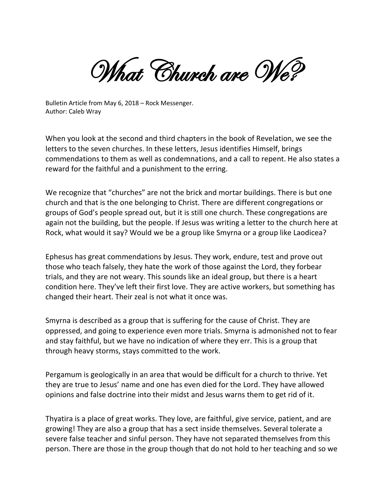What Church are We?

Bulletin Article from May 6, 2018 – Rock Messenger. Author: Caleb Wray

When you look at the second and third chapters in the book of Revelation, we see the letters to the seven churches. In these letters, Jesus identifies Himself, brings commendations to them as well as condemnations, and a call to repent. He also states a reward for the faithful and a punishment to the erring.

We recognize that "churches" are not the brick and mortar buildings. There is but one church and that is the one belonging to Christ. There are different congregations or groups of God's people spread out, but it is still one church. These congregations are again not the building, but the people. If Jesus was writing a letter to the church here at Rock, what would it say? Would we be a group like Smyrna or a group like Laodicea?

Ephesus has great commendations by Jesus. They work, endure, test and prove out those who teach falsely, they hate the work of those against the Lord, they forbear trials, and they are not weary. This sounds like an ideal group, but there is a heart condition here. They've left their first love. They are active workers, but something has changed their heart. Their zeal is not what it once was.

Smyrna is described as a group that is suffering for the cause of Christ. They are oppressed, and going to experience even more trials. Smyrna is admonished not to fear and stay faithful, but we have no indication of where they err. This is a group that through heavy storms, stays committed to the work.

Pergamum is geologically in an area that would be difficult for a church to thrive. Yet they are true to Jesus' name and one has even died for the Lord. They have allowed opinions and false doctrine into their midst and Jesus warns them to get rid of it.

Thyatira is a place of great works. They love, are faithful, give service, patient, and are growing! They are also a group that has a sect inside themselves. Several tolerate a severe false teacher and sinful person. They have not separated themselves from this person. There are those in the group though that do not hold to her teaching and so we